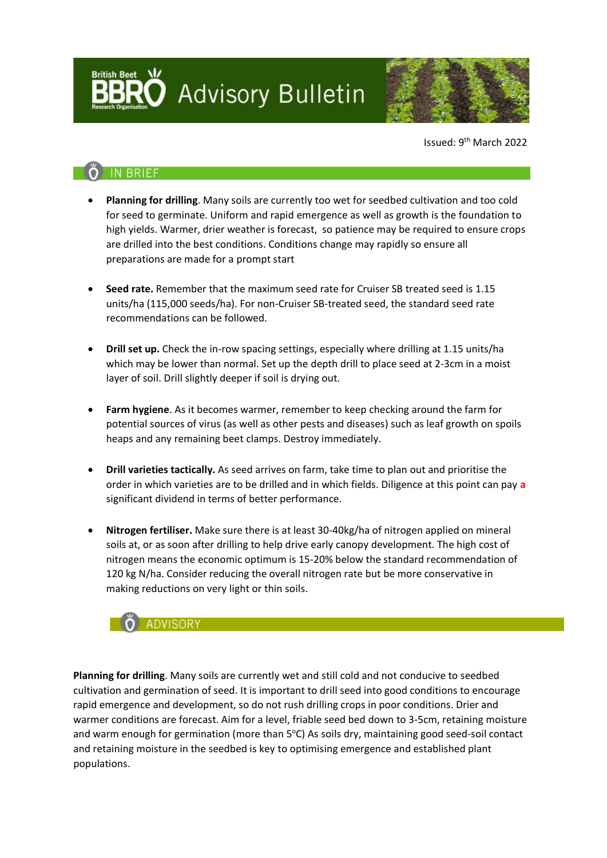**Advisory Bulletin** 



Issued: 9th March 2022

## **IN BRIEF**

- **Planning for drilling**. Many soils are currently too wet for seedbed cultivation and too cold for seed to germinate. Uniform and rapid emergence as well as growth is the foundation to high yields. Warmer, drier weather is forecast, so patience may be required to ensure crops are drilled into the best conditions. Conditions change may rapidly so ensure all preparations are made for a prompt start
- **Seed rate.** Remember that the maximum seed rate for Cruiser SB treated seed is 1.15 units/ha (115,000 seeds/ha). For non-Cruiser SB-treated seed, the standard seed rate recommendations can be followed.
- **Drill set up.** Check the in-row spacing settings, especially where drilling at 1.15 units/ha which may be lower than normal. Set up the depth drill to place seed at 2-3cm in a moist layer of soil. Drill slightly deeper if soil is drying out.
- **Farm hygiene**. As it becomes warmer, remember to keep checking around the farm for potential sources of virus (as well as other pests and diseases) such as leaf growth on spoils heaps and any remaining beet clamps. Destroy immediately.
- **Drill varieties tactically.** As seed arrives on farm, take time to plan out and prioritise the order in which varieties are to be drilled and in which fields. Diligence at this point can pay **a** significant dividend in terms of better performance.
- **Nitrogen fertiliser.** Make sure there is at least 30-40kg/ha of nitrogen applied on mineral soils at, or as soon after drilling to help drive early canopy development. The high cost of nitrogen means the economic optimum is 15-20% below the standard recommendation of 120 kg N/ha. Consider reducing the overall nitrogen rate but be more conservative in making reductions on very light or thin soils.



**Planning for drilling**. Many soils are currently wet and still cold and not conducive to seedbed cultivation and germination of seed. It is important to drill seed into good conditions to encourage rapid emergence and development, so do not rush drilling crops in poor conditions. Drier and warmer conditions are forecast. Aim for a level, friable seed bed down to 3-5cm, retaining moisture and warm enough for germination (more than 5°C) As soils dry, maintaining good seed-soil contact and retaining moisture in the seedbed is key to optimising emergence and established plant populations.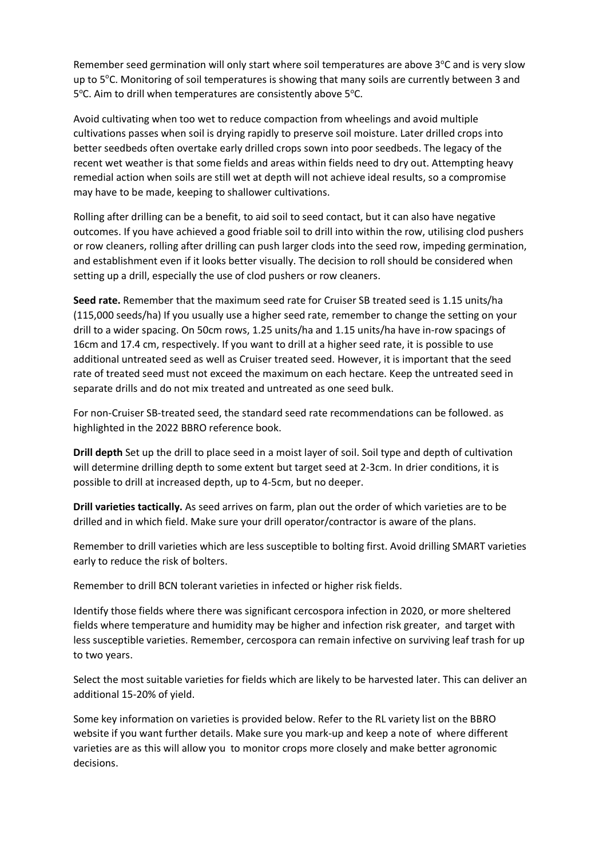Remember seed germination will only start where soil temperatures are above 3°C and is very slow up to 5°C. Monitoring of soil temperatures is showing that many soils are currently between 3 and 5°C. Aim to drill when temperatures are consistently above 5°C.

Avoid cultivating when too wet to reduce compaction from wheelings and avoid multiple cultivations passes when soil is drying rapidly to preserve soil moisture. Later drilled crops into better seedbeds often overtake early drilled crops sown into poor seedbeds. The legacy of the recent wet weather is that some fields and areas within fields need to dry out. Attempting heavy remedial action when soils are still wet at depth will not achieve ideal results, so a compromise may have to be made, keeping to shallower cultivations.

Rolling after drilling can be a benefit, to aid soil to seed contact, but it can also have negative outcomes. If you have achieved a good friable soil to drill into within the row, utilising clod pushers or row cleaners, rolling after drilling can push larger clods into the seed row, impeding germination, and establishment even if it looks better visually. The decision to roll should be considered when setting up a drill, especially the use of clod pushers or row cleaners.

**Seed rate.** Remember that the maximum seed rate for Cruiser SB treated seed is 1.15 units/ha (115,000 seeds/ha) If you usually use a higher seed rate, remember to change the setting on your drill to a wider spacing. On 50cm rows, 1.25 units/ha and 1.15 units/ha have in-row spacings of 16cm and 17.4 cm, respectively. If you want to drill at a higher seed rate, it is possible to use additional untreated seed as well as Cruiser treated seed. However, it is important that the seed rate of treated seed must not exceed the maximum on each hectare. Keep the untreated seed in separate drills and do not mix treated and untreated as one seed bulk.

For non-Cruiser SB-treated seed, the standard seed rate recommendations can be followed. as highlighted in the 2022 BBRO reference book.

**Drill depth** Set up the drill to place seed in a moist layer of soil. Soil type and depth of cultivation will determine drilling depth to some extent but target seed at 2-3cm. In drier conditions, it is possible to drill at increased depth, up to 4-5cm, but no deeper.

**Drill varieties tactically.** As seed arrives on farm, plan out the order of which varieties are to be drilled and in which field. Make sure your drill operator/contractor is aware of the plans.

Remember to drill varieties which are less susceptible to bolting first. Avoid drilling SMART varieties early to reduce the risk of bolters.

Remember to drill BCN tolerant varieties in infected or higher risk fields.

Identify those fields where there was significant cercospora infection in 2020, or more sheltered fields where temperature and humidity may be higher and infection risk greater, and target with less susceptible varieties. Remember, cercospora can remain infective on surviving leaf trash for up to two years.

Select the most suitable varieties for fields which are likely to be harvested later. This can deliver an additional 15-20% of yield.

Some key information on varieties is provided below. Refer to the RL variety list on the BBRO website if you want further details. Make sure you mark-up and keep a note of where different varieties are as this will allow you to monitor crops more closely and make better agronomic decisions.